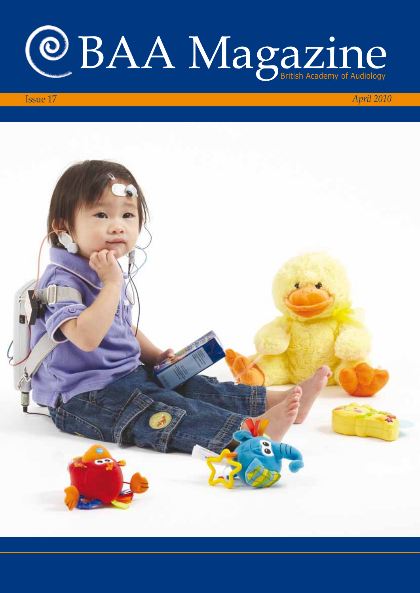

## Issue 17 *April 2010*

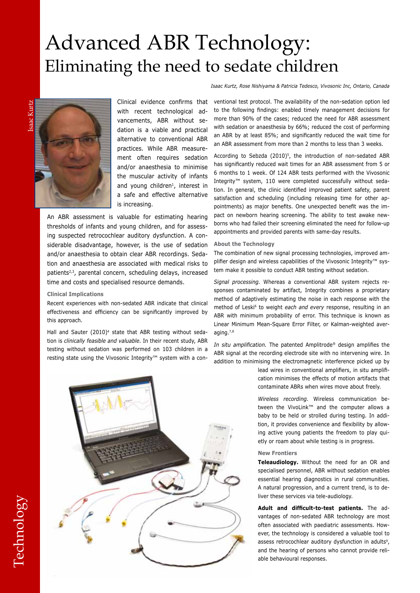# Advanced ABR Technology: Eliminating the need to sedate children

*Isaac Kurtz, Rose Nishiyama & Patricia Tedesco, Vivosonic Inc, Ontario, Canada* 

Isaac Kurtzsaac Kurtz



Clinical evidence confirms that with recent technological advancements, ABR without sedation is a viable and practical alternative to conventional ABR practices. While ABR measurement often requires sedation and/or anaesthesia to minimise the muscular activity of infants and young children<sup>1</sup>, interest in a safe and effective alternative is increasing.

An ABR assessment is valuable for estimating hearing thresholds of infants and young children, and for assessing suspected retrocochlear auditory dysfunction. A considerable disadvantage, however, is the use of sedation and/or anaesthesia to obtain clear ABR recordings. Sedation and anaesthesia are associated with medical risks to patients<sup>2,3</sup>, parental concern, scheduling delays, increased time and costs and specialised resource demands.

#### **Clinical Implications**

Recent experiences with non-sedated ABR indicate that clinical effectiveness and efficiency can be significantly improved by this approach.

Hall and Sauter (2010)<sup>4</sup> state that ABR testing without sedation is *clinically feasible and valuable*. In their recent study, ABR testing without sedation was performed on 103 children in a resting state using the Vivosonic Integrity™ system with a conventional test protocol. The availability of the non-sedation option led to the following findings: enabled timely management decisions for more than 90% of the cases; reduced the need for ABR assessment with sedation or anaesthesia by 66%; reduced the cost of performing an ABR by at least 85%; and significantly reduced the wait time for an ABR assessment from more than 2 months to less than 3 weeks.

According to Sebzda (2010)<sup>5</sup>, the introduction of non-sedated ABR has significantly reduced wait times for an ABR assessment from 5 or 6 months to 1 week. Of 124 ABR tests performed with the Vivosonic Integrity™ system, 110 were completed successfully without sedation. In general, the clinic identified improved patient safety, parent satisfaction and scheduling (including releasing time for other appointments) as major benefits. One unexpected benefit was the impact on newborn hearing screening. The ability to test awake newborns who had failed their screening eliminated the need for follow-up appointments and provided parents with same-day results.

#### **About the Technology**

The combination of new signal processing technologies, improved amplifier design and wireless capabilities of the Vivosonic Integrity<sup>™</sup> system make it possible to conduct ABR testing without sedation.

*Signal processing.* Whereas a conventional ABR system rejects responses contaminated by artifact, Integrity combines a proprietary method of adaptively estimating the noise in each response with the method of Leski<sup>6</sup> to weight *each and every* response, resulting in an ABR with minimum probability of error. This technique is known as Linear Minimum Mean-Square Error Filter, or Kalman-weighted averaging.7,8

*In situ amplification.* The patented Amplitrode® design amplifies the ABR signal at the recording electrode site with no intervening wire. In addition to minimising the electromagnetic interference picked up by

> lead wires in conventional amplifiers, in situ amplification minimises the effects of motion artifacts that contaminate ABRs when wires move about freely.

> *Wireless recording.* Wireless communication between the VivoLink™ and the computer allows a baby to be held or strolled during testing. In addition, it provides convenience and flexibility by allowing active young patients the freedom to play quietly or roam about while testing is in progress.

#### **New Frontiers**

**Teleaudiology.** Without the need for an OR and specialised personnel, ABR without sedation enables essential hearing diagnostics in rural communities. A natural progression, and a current trend, is to deliver these services via tele-audiology.

**Adult and difficult-to-test patients.** The advantages of non-sedated ABR technology are most often associated with paediatric assessments. However, the technology is considered a valuable tool to assess retrocochlear auditory dysfunction in adults<sup>9</sup>, and the hearing of persons who cannot provide reliable behavioural responses.